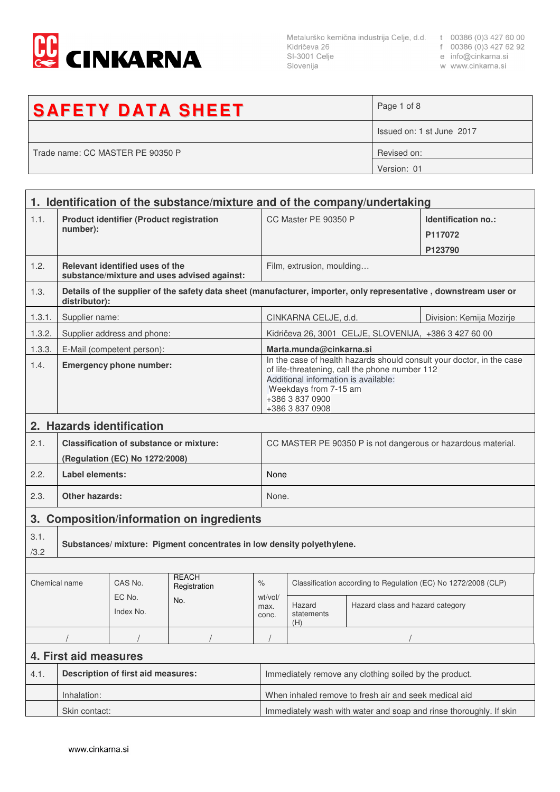

 $\Gamma$ 

Slovenija

- 
- 
- w www.cinkarna.si

| <b>SAFETY DATA SHEET</b>         | Page 1 of 8               |
|----------------------------------|---------------------------|
|                                  | Issued on: 1 st June 2017 |
| Trade name: CC MASTER PE 90350 P | Revised on:               |
|                                  | Version: 01               |

|                       | 1. Identification of the substance/mixture and of the company/undertaking                                                          |                             |                                           |                                                              |                                                                                                                                                                                                                                |                                  |  |  |
|-----------------------|------------------------------------------------------------------------------------------------------------------------------------|-----------------------------|-------------------------------------------|--------------------------------------------------------------|--------------------------------------------------------------------------------------------------------------------------------------------------------------------------------------------------------------------------------|----------------------------------|--|--|
| 1.1.                  | <b>Product identifier (Product registration</b><br>number):                                                                        |                             |                                           |                                                              | CC Master PE 90350 P<br>Identification no.:<br>P117072<br>P123790                                                                                                                                                              |                                  |  |  |
| 1.2.                  | Relevant identified uses of the<br>substance/mixture and uses advised against:                                                     |                             |                                           |                                                              | Film, extrusion, moulding                                                                                                                                                                                                      |                                  |  |  |
| 1.3.                  | Details of the supplier of the safety data sheet (manufacturer, importer, only representative, downstream user or<br>distributor): |                             |                                           |                                                              |                                                                                                                                                                                                                                |                                  |  |  |
| 1.3.1.                | Supplier name:                                                                                                                     |                             |                                           |                                                              | CINKARNA CELJE, d.d.<br>Division: Kemija Mozirje                                                                                                                                                                               |                                  |  |  |
| 1.3.2.                |                                                                                                                                    | Supplier address and phone: |                                           |                                                              | Kidričeva 26, 3001 CELJE, SLOVENIJA, +386 3 427 60 00                                                                                                                                                                          |                                  |  |  |
| 1.3.3.                |                                                                                                                                    | E-Mail (competent person):  |                                           |                                                              | Marta.munda@cinkarna.si                                                                                                                                                                                                        |                                  |  |  |
| 1.4.                  | <b>Emergency phone number:</b>                                                                                                     |                             |                                           |                                                              | In the case of health hazards should consult your doctor, in the case<br>of life-threatening, call the phone number 112<br>Additional information is available:<br>Weekdays from 7-15 am<br>+386 3 837 0900<br>+386 3 837 0908 |                                  |  |  |
|                       | 2. Hazards identification                                                                                                          |                             |                                           |                                                              |                                                                                                                                                                                                                                |                                  |  |  |
| 2.1.                  | <b>Classification of substance or mixture:</b>                                                                                     |                             |                                           | CC MASTER PE 90350 P is not dangerous or hazardous material. |                                                                                                                                                                                                                                |                                  |  |  |
|                       | (Regulation (EC) No 1272/2008)                                                                                                     |                             |                                           |                                                              |                                                                                                                                                                                                                                |                                  |  |  |
| 2.2.                  | <b>Label elements:</b>                                                                                                             |                             |                                           |                                                              | None                                                                                                                                                                                                                           |                                  |  |  |
| 2.3.                  | <b>Other hazards:</b>                                                                                                              |                             |                                           |                                                              | None.                                                                                                                                                                                                                          |                                  |  |  |
|                       |                                                                                                                                    |                             | 3. Composition/information on ingredients |                                                              |                                                                                                                                                                                                                                |                                  |  |  |
| 3.1.<br>/3.2          | Substances/ mixture: Pigment concentrates in low density polyethylene.                                                             |                             |                                           |                                                              |                                                                                                                                                                                                                                |                                  |  |  |
|                       |                                                                                                                                    | CAS No.                     | <b>RFACH</b>                              |                                                              |                                                                                                                                                                                                                                |                                  |  |  |
| Chemical name         |                                                                                                                                    | EC No.                      | Registration                              | $\%$<br>wt/vol/                                              | Classification according to Regulation (EC) No 1272/2008 (CLP)                                                                                                                                                                 |                                  |  |  |
|                       |                                                                                                                                    | Index No.                   | No.                                       | max.<br>conc.                                                | Hazard<br>statements<br>(H)                                                                                                                                                                                                    | Hazard class and hazard category |  |  |
|                       |                                                                                                                                    |                             |                                           |                                                              |                                                                                                                                                                                                                                |                                  |  |  |
| 4. First aid measures |                                                                                                                                    |                             |                                           |                                                              |                                                                                                                                                                                                                                |                                  |  |  |
| 4.1.                  | <b>Description of first aid measures:</b>                                                                                          |                             |                                           |                                                              | Immediately remove any clothing soiled by the product.                                                                                                                                                                         |                                  |  |  |
|                       | Inhalation:                                                                                                                        |                             |                                           |                                                              | When inhaled remove to fresh air and seek medical aid                                                                                                                                                                          |                                  |  |  |
|                       | Skin contact:                                                                                                                      |                             |                                           |                                                              | Immediately wash with water and soap and rinse thoroughly. If skin                                                                                                                                                             |                                  |  |  |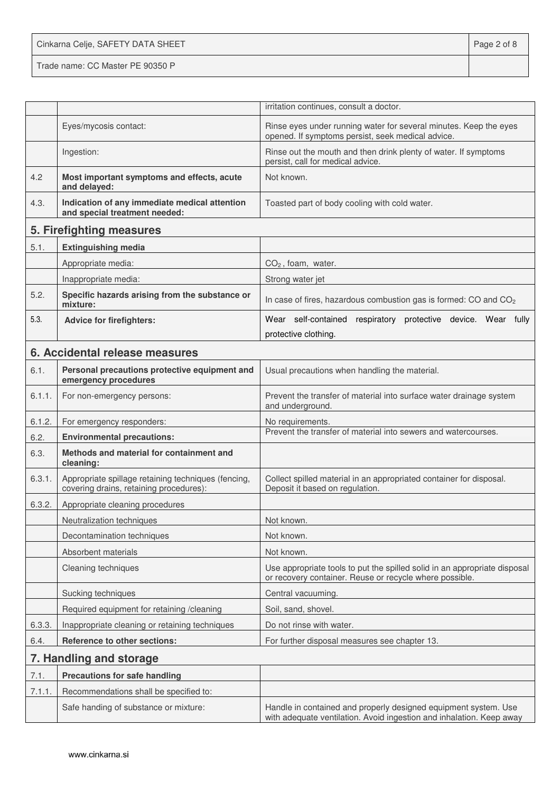Cinkarna Celje, SAFETY DATA SHEET **Page 2 of 8** Trade name: CC Master PE 90350 P

|        |                                                                                                | irritation continues, consult a doctor.                                                                                                 |
|--------|------------------------------------------------------------------------------------------------|-----------------------------------------------------------------------------------------------------------------------------------------|
|        | Eyes/mycosis contact:                                                                          | Rinse eyes under running water for several minutes. Keep the eyes<br>opened. If symptoms persist, seek medical advice.                  |
|        | Ingestion:                                                                                     | Rinse out the mouth and then drink plenty of water. If symptoms<br>persist, call for medical advice.                                    |
| 4.2    | Most important symptoms and effects, acute<br>and delayed:                                     | Not known.                                                                                                                              |
| 4.3.   | Indication of any immediate medical attention<br>and special treatment needed:                 | Toasted part of body cooling with cold water.                                                                                           |
|        | 5. Firefighting measures                                                                       |                                                                                                                                         |
| 5.1.   | <b>Extinguishing media</b>                                                                     |                                                                                                                                         |
|        | Appropriate media:                                                                             | $CO2$ , foam, water.                                                                                                                    |
|        | Inappropriate media:                                                                           | Strong water jet                                                                                                                        |
| 5.2.   | Specific hazards arising from the substance or<br>mixture:                                     | In case of fires, hazardous combustion gas is formed: CO and CO <sub>2</sub>                                                            |
| 5.3.   | <b>Advice for firefighters:</b>                                                                | Wear self-contained respiratory protective device. Wear fully                                                                           |
|        |                                                                                                | protective clothing.                                                                                                                    |
|        | 6. Accidental release measures                                                                 |                                                                                                                                         |
| 6.1.   | Personal precautions protective equipment and<br>emergency procedures                          | Usual precautions when handling the material.                                                                                           |
| 6.1.1. | For non-emergency persons:                                                                     | Prevent the transfer of material into surface water drainage system<br>and underground.                                                 |
| 6.1.2. | For emergency responders:                                                                      | No requirements.                                                                                                                        |
| 6.2.   | <b>Environmental precautions:</b>                                                              | Prevent the transfer of material into sewers and watercourses.                                                                          |
| 6.3.   | Methods and material for containment and<br>cleaning:                                          |                                                                                                                                         |
| 6.3.1. | Appropriate spillage retaining techniques (fencing,<br>covering drains, retaining procedures): | Collect spilled material in an appropriated container for disposal.<br>Deposit it based on regulation.                                  |
| 6.3.2. | Appropriate cleaning procedures                                                                |                                                                                                                                         |
|        | Neutralization techniques                                                                      | Not known.                                                                                                                              |
|        | Decontamination techniques                                                                     | Not known.                                                                                                                              |
|        | Absorbent materials                                                                            | Not known.                                                                                                                              |
|        | Cleaning techniques                                                                            | Use appropriate tools to put the spilled solid in an appropriate disposal<br>or recovery container. Reuse or recycle where possible.    |
|        | Sucking techniques                                                                             | Central vacuuming.                                                                                                                      |
|        | Required equipment for retaining /cleaning                                                     | Soil, sand, shovel.                                                                                                                     |
| 6.3.3. | Inappropriate cleaning or retaining techniques                                                 | Do not rinse with water.                                                                                                                |
| 6.4.   | Reference to other sections:                                                                   | For further disposal measures see chapter 13.                                                                                           |
|        | 7. Handling and storage                                                                        |                                                                                                                                         |
| 7.1.   | <b>Precautions for safe handling</b>                                                           |                                                                                                                                         |
| 7.1.1. | Recommendations shall be specified to:                                                         |                                                                                                                                         |
|        | Safe handing of substance or mixture:                                                          | Handle in contained and properly designed equipment system. Use<br>with adequate ventilation. Avoid ingestion and inhalation. Keep away |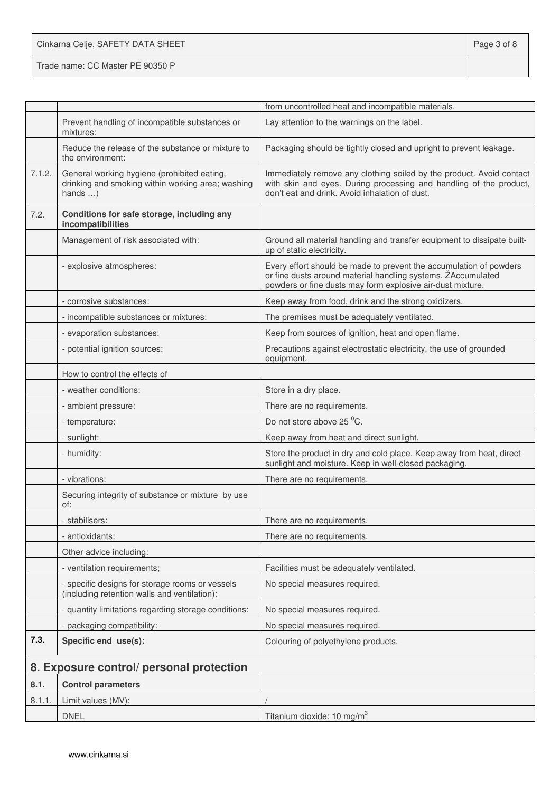Cinkarna Celje, SAFETY DATA SHEET **Page 3 of 8** 

Trade name: CC Master PE 90350 P

|        |                                                                                                                     | from uncontrolled heat and incompatible materials.                                                                                                                                               |
|--------|---------------------------------------------------------------------------------------------------------------------|--------------------------------------------------------------------------------------------------------------------------------------------------------------------------------------------------|
|        | Prevent handling of incompatible substances or<br>mixtures:                                                         | Lay attention to the warnings on the label.                                                                                                                                                      |
|        | Reduce the release of the substance or mixture to<br>the environment:                                               | Packaging should be tightly closed and upright to prevent leakage.                                                                                                                               |
| 7.1.2. | General working hygiene (prohibited eating,<br>drinking and smoking within working area; washing<br>hands $\dots$ ) | Immediately remove any clothing soiled by the product. Avoid contact<br>with skin and eyes. During processing and handling of the product,<br>don't eat and drink. Avoid inhalation of dust.     |
| 7.2.   | Conditions for safe storage, including any<br>incompatibilities                                                     |                                                                                                                                                                                                  |
|        | Management of risk associated with:                                                                                 | Ground all material handling and transfer equipment to dissipate built-<br>up of static electricity.                                                                                             |
|        | - explosive atmospheres:                                                                                            | Every effort should be made to prevent the accumulation of powders<br>or fine dusts around material handling systems. ZAccumulated<br>powders or fine dusts may form explosive air-dust mixture. |
|        | - corrosive substances:                                                                                             | Keep away from food, drink and the strong oxidizers.                                                                                                                                             |
|        | - incompatible substances or mixtures:                                                                              | The premises must be adequately ventilated.                                                                                                                                                      |
|        | - evaporation substances:                                                                                           | Keep from sources of ignition, heat and open flame.                                                                                                                                              |
|        | - potential ignition sources:                                                                                       | Precautions against electrostatic electricity, the use of grounded<br>equipment.                                                                                                                 |
|        | How to control the effects of                                                                                       |                                                                                                                                                                                                  |
|        | - weather conditions:                                                                                               | Store in a dry place.                                                                                                                                                                            |
|        | - ambient pressure:                                                                                                 | There are no requirements.                                                                                                                                                                       |
|        | - temperature:                                                                                                      | Do not store above 25 °C.                                                                                                                                                                        |
|        | - sunlight:                                                                                                         | Keep away from heat and direct sunlight.                                                                                                                                                         |
|        | - humidity:                                                                                                         | Store the product in dry and cold place. Keep away from heat, direct<br>sunlight and moisture. Keep in well-closed packaging.                                                                    |
|        | - vibrations:                                                                                                       | There are no requirements.                                                                                                                                                                       |
|        | Securing integrity of substance or mixture by use<br>of:                                                            |                                                                                                                                                                                                  |
|        | stabilisers:                                                                                                        | There are no requirements.                                                                                                                                                                       |
|        | - antioxidants:                                                                                                     | There are no requirements.                                                                                                                                                                       |
|        | Other advice including:                                                                                             |                                                                                                                                                                                                  |
|        | - ventilation requirements;                                                                                         | Facilities must be adequately ventilated.                                                                                                                                                        |
|        | - specific designs for storage rooms or vessels<br>(including retention walls and ventilation):                     | No special measures required.                                                                                                                                                                    |
|        | - quantity limitations regarding storage conditions:                                                                | No special measures required.                                                                                                                                                                    |
|        | - packaging compatibility:                                                                                          | No special measures required.                                                                                                                                                                    |
| 7.3.   | Specific end use(s):                                                                                                | Colouring of polyethylene products.                                                                                                                                                              |
|        | 8. Exposure control/ personal protection                                                                            |                                                                                                                                                                                                  |
| 8.1.   | <b>Control parameters</b>                                                                                           |                                                                                                                                                                                                  |
| 8.1.1. | Limit values (MV):                                                                                                  |                                                                                                                                                                                                  |
|        | <b>DNEL</b>                                                                                                         | Titanium dioxide: 10 mg/m <sup>3</sup>                                                                                                                                                           |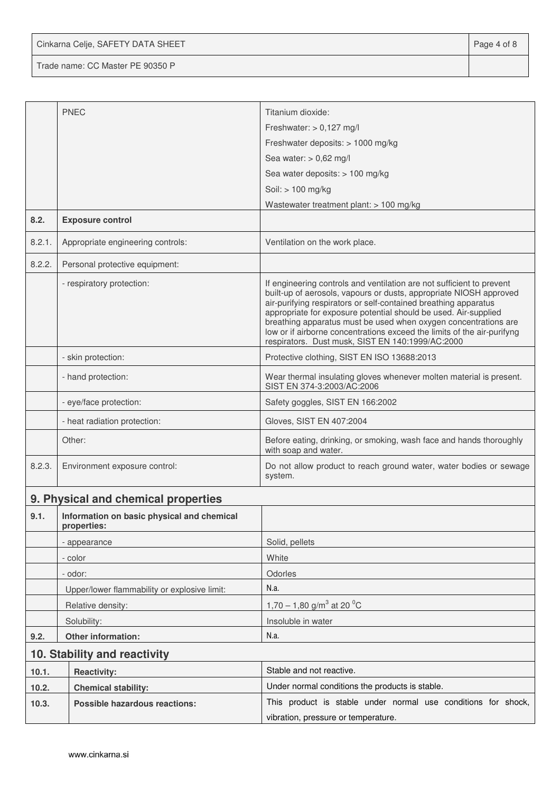Cinkarna Celje, SAFETY DATA SHEET **Page 4 of 8** 

Trade name: CC Master PE 90350 P

|        | <b>PNEC</b>                                               | Titanium dioxide:                                                                                                                                                                                                                                                                                                                                                                                                                                                                   |  |  |
|--------|-----------------------------------------------------------|-------------------------------------------------------------------------------------------------------------------------------------------------------------------------------------------------------------------------------------------------------------------------------------------------------------------------------------------------------------------------------------------------------------------------------------------------------------------------------------|--|--|
|        |                                                           | Freshwater: $> 0,127$ mg/l                                                                                                                                                                                                                                                                                                                                                                                                                                                          |  |  |
|        |                                                           | Freshwater deposits: > 1000 mg/kg                                                                                                                                                                                                                                                                                                                                                                                                                                                   |  |  |
|        |                                                           | Sea water: $> 0.62$ mg/l                                                                                                                                                                                                                                                                                                                                                                                                                                                            |  |  |
|        |                                                           | Sea water deposits: > 100 mg/kg                                                                                                                                                                                                                                                                                                                                                                                                                                                     |  |  |
|        |                                                           | Soil: > 100 mg/kg                                                                                                                                                                                                                                                                                                                                                                                                                                                                   |  |  |
|        |                                                           | Wastewater treatment plant: > 100 mg/kg                                                                                                                                                                                                                                                                                                                                                                                                                                             |  |  |
| 8.2.   | <b>Exposure control</b>                                   |                                                                                                                                                                                                                                                                                                                                                                                                                                                                                     |  |  |
| 8.2.1. | Appropriate engineering controls:                         | Ventilation on the work place.                                                                                                                                                                                                                                                                                                                                                                                                                                                      |  |  |
| 8.2.2. | Personal protective equipment:                            |                                                                                                                                                                                                                                                                                                                                                                                                                                                                                     |  |  |
|        | - respiratory protection:                                 | If engineering controls and ventilation are not sufficient to prevent<br>built-up of aerosols, vapours or dusts, appropriate NIOSH approved<br>air-purifying respirators or self-contained breathing apparatus<br>appropriate for exposure potential should be used. Air-supplied<br>breathing apparatus must be used when oxygen concentrations are<br>low or if airborne concentrations exceed the limits of the air-purifyng<br>respirators. Dust musk, SIST EN 140:1999/AC:2000 |  |  |
|        | - skin protection:                                        | Protective clothing, SIST EN ISO 13688:2013                                                                                                                                                                                                                                                                                                                                                                                                                                         |  |  |
|        | - hand protection:                                        | Wear thermal insulating gloves whenever molten material is present.<br>SIST EN 374-3:2003/AC:2006                                                                                                                                                                                                                                                                                                                                                                                   |  |  |
|        | - eye/face protection:                                    | Safety goggles, SIST EN 166:2002                                                                                                                                                                                                                                                                                                                                                                                                                                                    |  |  |
|        | - heat radiation protection:                              | Gloves, SIST EN 407:2004                                                                                                                                                                                                                                                                                                                                                                                                                                                            |  |  |
|        | Other:                                                    | Before eating, drinking, or smoking, wash face and hands thoroughly<br>with soap and water.                                                                                                                                                                                                                                                                                                                                                                                         |  |  |
| 8.2.3. | Environment exposure control:                             | Do not allow product to reach ground water, water bodies or sewage<br>system.                                                                                                                                                                                                                                                                                                                                                                                                       |  |  |
|        | 9. Physical and chemical properties                       |                                                                                                                                                                                                                                                                                                                                                                                                                                                                                     |  |  |
| 9.1.   | Information on basic physical and chemical<br>properties: |                                                                                                                                                                                                                                                                                                                                                                                                                                                                                     |  |  |
|        | - appearance                                              | Solid, pellets                                                                                                                                                                                                                                                                                                                                                                                                                                                                      |  |  |
|        | - color                                                   | White                                                                                                                                                                                                                                                                                                                                                                                                                                                                               |  |  |
|        | - odor:                                                   | Odorles                                                                                                                                                                                                                                                                                                                                                                                                                                                                             |  |  |
|        | Upper/lower flammability or explosive limit:              | N.a.                                                                                                                                                                                                                                                                                                                                                                                                                                                                                |  |  |
|        | Relative density:                                         | 1,70 – 1,80 g/m <sup>3</sup> at 20 <sup>o</sup> C                                                                                                                                                                                                                                                                                                                                                                                                                                   |  |  |
|        | Solubility:                                               | Insoluble in water                                                                                                                                                                                                                                                                                                                                                                                                                                                                  |  |  |
| 9.2.   | Other information:                                        | N.a.                                                                                                                                                                                                                                                                                                                                                                                                                                                                                |  |  |
|        | 10. Stability and reactivity                              |                                                                                                                                                                                                                                                                                                                                                                                                                                                                                     |  |  |
| 10.1.  | <b>Reactivity:</b>                                        | Stable and not reactive.                                                                                                                                                                                                                                                                                                                                                                                                                                                            |  |  |
| 10.2.  | <b>Chemical stability:</b>                                | Under normal conditions the products is stable.                                                                                                                                                                                                                                                                                                                                                                                                                                     |  |  |
| 10.3.  | <b>Possible hazardous reactions:</b>                      | This product is stable under normal use conditions for shock,                                                                                                                                                                                                                                                                                                                                                                                                                       |  |  |
|        |                                                           | vibration, pressure or temperature.                                                                                                                                                                                                                                                                                                                                                                                                                                                 |  |  |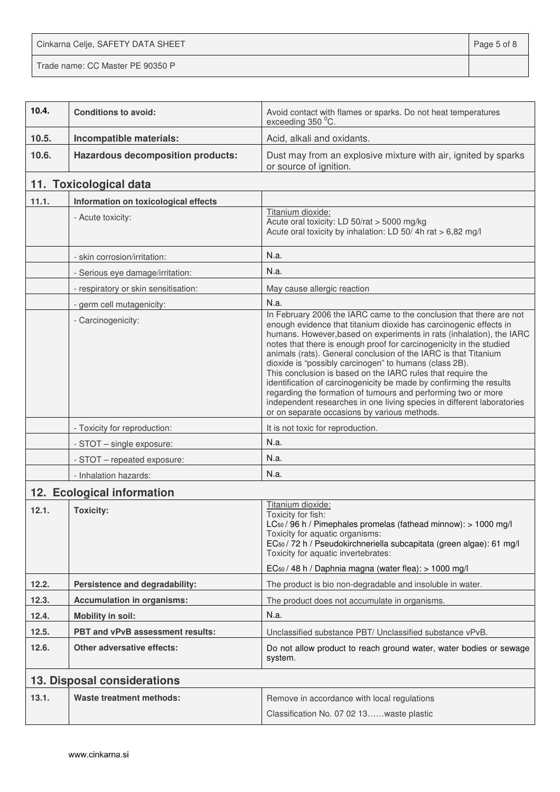Cinkarna Celje, SAFETY DATA SHEET **Page 5 of 8** 

Trade name: CC Master PE 90350 P

| 10.4. | <b>Conditions to avoid:</b>              | Avoid contact with flames or sparks. Do not heat temperatures<br>exceeding 350 °C.                                                                                                                                                                                                                                                                                                                                                                                                                                                                                                                                                                                                                                                                    |
|-------|------------------------------------------|-------------------------------------------------------------------------------------------------------------------------------------------------------------------------------------------------------------------------------------------------------------------------------------------------------------------------------------------------------------------------------------------------------------------------------------------------------------------------------------------------------------------------------------------------------------------------------------------------------------------------------------------------------------------------------------------------------------------------------------------------------|
| 10.5. | Incompatible materials:                  | Acid, alkali and oxidants.                                                                                                                                                                                                                                                                                                                                                                                                                                                                                                                                                                                                                                                                                                                            |
| 10.6. | <b>Hazardous decomposition products:</b> | Dust may from an explosive mixture with air, ignited by sparks<br>or source of ignition.                                                                                                                                                                                                                                                                                                                                                                                                                                                                                                                                                                                                                                                              |
|       | 11. Toxicological data                   |                                                                                                                                                                                                                                                                                                                                                                                                                                                                                                                                                                                                                                                                                                                                                       |
| 11.1. | Information on toxicological effects     |                                                                                                                                                                                                                                                                                                                                                                                                                                                                                                                                                                                                                                                                                                                                                       |
|       | - Acute toxicity:                        | Titanium dioxide:<br>Acute oral toxicity: LD 50/rat > 5000 mg/kg<br>Acute oral toxicity by inhalation: LD 50/4h rat > 6,82 mg/l                                                                                                                                                                                                                                                                                                                                                                                                                                                                                                                                                                                                                       |
|       | - skin corrosion/irritation:             | N.a.                                                                                                                                                                                                                                                                                                                                                                                                                                                                                                                                                                                                                                                                                                                                                  |
|       | - Serious eye damage/irritation:         | N.a.                                                                                                                                                                                                                                                                                                                                                                                                                                                                                                                                                                                                                                                                                                                                                  |
|       | - respiratory or skin sensitisation:     | May cause allergic reaction                                                                                                                                                                                                                                                                                                                                                                                                                                                                                                                                                                                                                                                                                                                           |
|       | - germ cell mutagenicity:                | N.a.                                                                                                                                                                                                                                                                                                                                                                                                                                                                                                                                                                                                                                                                                                                                                  |
|       | - Carcinogenicity:                       | In February 2006 the IARC came to the conclusion that there are not<br>enough evidence that titanium dioxide has carcinogenic effects in<br>humans. However, based on experiments in rats (inhalation), the IARC<br>notes that there is enough proof for carcinogenicity in the studied<br>animals (rats). General conclusion of the IARC is that Titanium<br>dioxide is "possibly carcinogen" to humans (class 2B).<br>This conclusion is based on the IARC rules that require the<br>identification of carcinogenicity be made by confirming the results<br>regarding the formation of tumours and performing two or more<br>independent researches in one living species in different laboratories<br>or on separate occasions by various methods. |
|       | - Toxicity for reproduction:             | It is not toxic for reproduction.                                                                                                                                                                                                                                                                                                                                                                                                                                                                                                                                                                                                                                                                                                                     |
|       | - STOT - single exposure:                | N.a.                                                                                                                                                                                                                                                                                                                                                                                                                                                                                                                                                                                                                                                                                                                                                  |
|       | - STOT - repeated exposure:              | N.a.                                                                                                                                                                                                                                                                                                                                                                                                                                                                                                                                                                                                                                                                                                                                                  |
|       | - Inhalation hazards:                    | N.a.                                                                                                                                                                                                                                                                                                                                                                                                                                                                                                                                                                                                                                                                                                                                                  |
|       | 12. Ecological information               |                                                                                                                                                                                                                                                                                                                                                                                                                                                                                                                                                                                                                                                                                                                                                       |
| 12.1. | <b>Toxicity:</b>                         | Titanium dioxide:<br>Toxicity for fish:<br>$LC_{50}$ / 96 h / Pimephales promelas (fathead minnow): $> 1000$ mg/l<br>Toxicity for aquatic organisms:<br>EC <sub>50</sub> / 72 h / Pseudokirchneriella subcapitata (green algae): 61 mg/l<br>Toxicity for aquatic invertebrates:<br>EC <sub>50</sub> / 48 h / Daphnia magna (water flea): > 1000 mg/l                                                                                                                                                                                                                                                                                                                                                                                                  |
| 12.2. | Persistence and degradability:           | The product is bio non-degradable and insoluble in water.                                                                                                                                                                                                                                                                                                                                                                                                                                                                                                                                                                                                                                                                                             |
| 12.3. | <b>Accumulation in organisms:</b>        | The product does not accumulate in organisms.                                                                                                                                                                                                                                                                                                                                                                                                                                                                                                                                                                                                                                                                                                         |
| 12.4. | <b>Mobility in soil:</b>                 | N.a.                                                                                                                                                                                                                                                                                                                                                                                                                                                                                                                                                                                                                                                                                                                                                  |
| 12.5. | PBT and vPvB assessment results:         | Unclassified substance PBT/ Unclassified substance vPvB.                                                                                                                                                                                                                                                                                                                                                                                                                                                                                                                                                                                                                                                                                              |
| 12.6. | <b>Other adversative effects:</b>        | Do not allow product to reach ground water, water bodies or sewage<br>system.                                                                                                                                                                                                                                                                                                                                                                                                                                                                                                                                                                                                                                                                         |
|       | 13. Disposal considerations              |                                                                                                                                                                                                                                                                                                                                                                                                                                                                                                                                                                                                                                                                                                                                                       |
| 13.1. | Waste treatment methods:                 | Remove in accordance with local regulations<br>Classification No. 07 02 13waste plastic                                                                                                                                                                                                                                                                                                                                                                                                                                                                                                                                                                                                                                                               |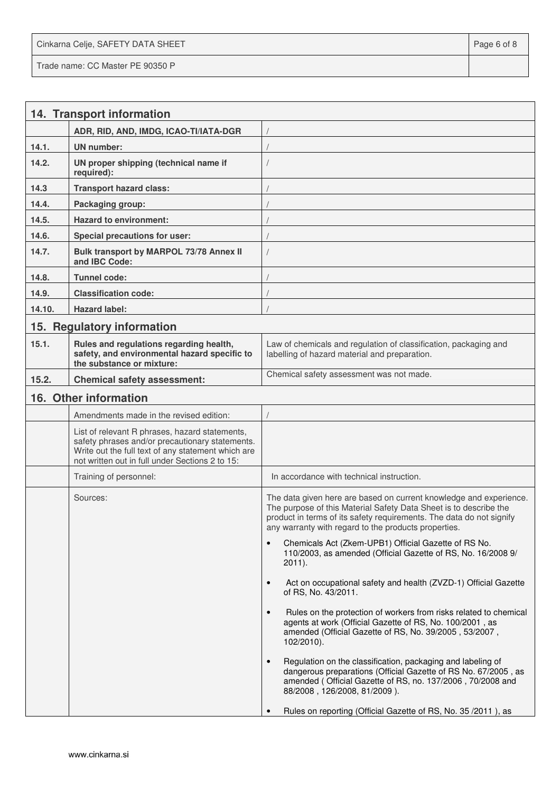Cinkarna Celje, SAFETY DATA SHEET **Page 6 of 8** and 2011 12 and 2012 12 and 2012 12 and 2012 12 and 2012 12 and 201 Trade name: CC Master PE 90350 P

|        | 14. Transport information                                                                                                                                                                                  |                                                                                                                                                                                                                                                                         |
|--------|------------------------------------------------------------------------------------------------------------------------------------------------------------------------------------------------------------|-------------------------------------------------------------------------------------------------------------------------------------------------------------------------------------------------------------------------------------------------------------------------|
|        | ADR, RID, AND, IMDG, ICAO-TI/IATA-DGR                                                                                                                                                                      |                                                                                                                                                                                                                                                                         |
| 14.1.  | UN number:                                                                                                                                                                                                 |                                                                                                                                                                                                                                                                         |
| 14.2.  | UN proper shipping (technical name if<br>required):                                                                                                                                                        |                                                                                                                                                                                                                                                                         |
| 14.3   | <b>Transport hazard class:</b>                                                                                                                                                                             |                                                                                                                                                                                                                                                                         |
| 14.4.  | Packaging group:                                                                                                                                                                                           |                                                                                                                                                                                                                                                                         |
| 14.5.  | <b>Hazard to environment:</b>                                                                                                                                                                              |                                                                                                                                                                                                                                                                         |
| 14.6.  | Special precautions for user:                                                                                                                                                                              |                                                                                                                                                                                                                                                                         |
| 14.7.  | Bulk transport by MARPOL 73/78 Annex II<br>and IBC Code:                                                                                                                                                   |                                                                                                                                                                                                                                                                         |
| 14.8.  | <b>Tunnel code:</b>                                                                                                                                                                                        |                                                                                                                                                                                                                                                                         |
| 14.9.  | <b>Classification code:</b>                                                                                                                                                                                |                                                                                                                                                                                                                                                                         |
| 14.10. | <b>Hazard label:</b>                                                                                                                                                                                       |                                                                                                                                                                                                                                                                         |
|        | 15. Regulatory information                                                                                                                                                                                 |                                                                                                                                                                                                                                                                         |
| 15.1.  | Rules and regulations regarding health,<br>safety, and environmental hazard specific to<br>the substance or mixture:                                                                                       | Law of chemicals and regulation of classification, packaging and<br>labelling of hazard material and preparation.                                                                                                                                                       |
| 15.2.  | <b>Chemical safety assessment:</b>                                                                                                                                                                         | Chemical safety assessment was not made.                                                                                                                                                                                                                                |
|        | 16. Other information                                                                                                                                                                                      |                                                                                                                                                                                                                                                                         |
|        | Amendments made in the revised edition:                                                                                                                                                                    |                                                                                                                                                                                                                                                                         |
|        | List of relevant R phrases, hazard statements,<br>safety phrases and/or precautionary statements.<br>Write out the full text of any statement which are<br>not written out in full under Sections 2 to 15: |                                                                                                                                                                                                                                                                         |
|        | Training of personnel:                                                                                                                                                                                     | In accordance with technical instruction.                                                                                                                                                                                                                               |
|        | Sources:                                                                                                                                                                                                   | The data given here are based on current knowledge and experience.<br>The purpose of this Material Safety Data Sheet is to describe the<br>product in terms of its safety requirements. The data do not signify<br>any warranty with regard to the products properties. |
|        |                                                                                                                                                                                                            | Chemicals Act (Zkem-UPB1) Official Gazette of RS No.<br>$\bullet$<br>110/2003, as amended (Official Gazette of RS, No. 16/2008 9/<br>$2011$ ).                                                                                                                          |
|        |                                                                                                                                                                                                            | Act on occupational safety and health (ZVZD-1) Official Gazette<br>$\bullet$<br>of RS, No. 43/2011.                                                                                                                                                                     |
|        |                                                                                                                                                                                                            | Rules on the protection of workers from risks related to chemical<br>$\bullet$<br>agents at work (Official Gazette of RS, No. 100/2001, as<br>amended (Official Gazette of RS, No. 39/2005, 53/2007,<br>$102/2010$ ).                                                   |
|        |                                                                                                                                                                                                            | Regulation on the classification, packaging and labeling of<br>$\bullet$<br>dangerous preparations (Official Gazette of RS No. 67/2005, as<br>amended (Official Gazette of RS, no. 137/2006, 70/2008 and<br>88/2008, 126/2008, 81/2009).                                |
|        |                                                                                                                                                                                                            | Rules on reporting (Official Gazette of RS, No. 35 / 2011), as                                                                                                                                                                                                          |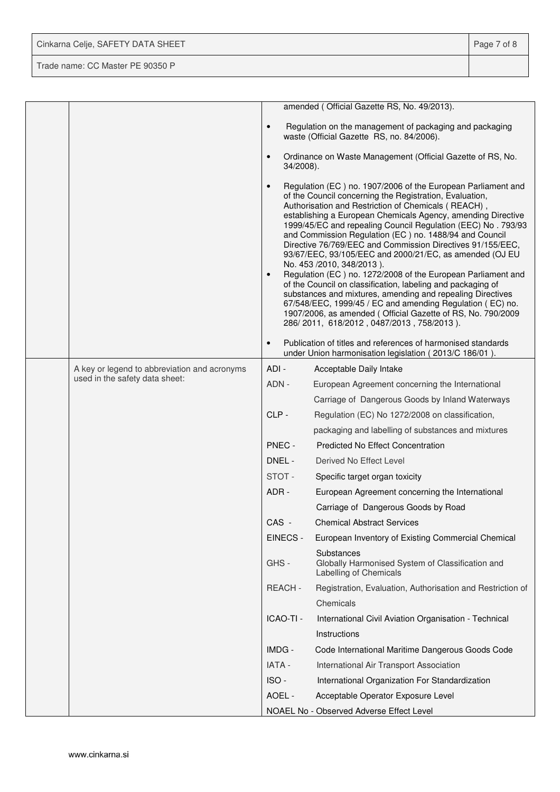| Cinkarna Celje, SAFETY DATA SHEET | Page 7 of 8 |
|-----------------------------------|-------------|
| Trade name: CC Master PE 90350 P  |             |

|  |                                              |                        | amended (Official Gazette RS, No. 49/2013).                                                                                                                                                                                                                                                                                                                                                                                                                                                                                                                                                                                                                                                                                                                                                                                                                                                          |
|--|----------------------------------------------|------------------------|------------------------------------------------------------------------------------------------------------------------------------------------------------------------------------------------------------------------------------------------------------------------------------------------------------------------------------------------------------------------------------------------------------------------------------------------------------------------------------------------------------------------------------------------------------------------------------------------------------------------------------------------------------------------------------------------------------------------------------------------------------------------------------------------------------------------------------------------------------------------------------------------------|
|  |                                              | $\bullet$              | Regulation on the management of packaging and packaging<br>waste (Official Gazette RS, no. 84/2006).                                                                                                                                                                                                                                                                                                                                                                                                                                                                                                                                                                                                                                                                                                                                                                                                 |
|  |                                              | $\bullet$<br>34/2008). | Ordinance on Waste Management (Official Gazette of RS, No.                                                                                                                                                                                                                                                                                                                                                                                                                                                                                                                                                                                                                                                                                                                                                                                                                                           |
|  |                                              | $\bullet$<br>$\bullet$ | Regulation (EC) no. 1907/2006 of the European Parliament and<br>of the Council concerning the Registration, Evaluation,<br>Authorisation and Restriction of Chemicals (REACH),<br>establishing a European Chemicals Agency, amending Directive<br>1999/45/EC and repealing Council Regulation (EEC) No. 793/93<br>and Commission Regulation (EC) no. 1488/94 and Council<br>Directive 76/769/EEC and Commission Directives 91/155/EEC,<br>93/67/EEC, 93/105/EEC and 2000/21/EC, as amended (OJ EU<br>No. 453 /2010, 348/2013).<br>Regulation (EC) no. 1272/2008 of the European Parliament and<br>of the Council on classification, labeling and packaging of<br>substances and mixtures, amending and repealing Directives<br>67/548/EEC, 1999/45 / EC and amending Regulation (EC) no.<br>1907/2006, as amended (Official Gazette of RS, No. 790/2009<br>286/2011, 618/2012, 0487/2013, 758/2013). |
|  |                                              | $\bullet$              | Publication of titles and references of harmonised standards<br>under Union harmonisation legislation (2013/C 186/01).                                                                                                                                                                                                                                                                                                                                                                                                                                                                                                                                                                                                                                                                                                                                                                               |
|  | A key or legend to abbreviation and acronyms | ADI-                   | Acceptable Daily Intake                                                                                                                                                                                                                                                                                                                                                                                                                                                                                                                                                                                                                                                                                                                                                                                                                                                                              |
|  | used in the safety data sheet:               | ADN -                  | European Agreement concerning the International                                                                                                                                                                                                                                                                                                                                                                                                                                                                                                                                                                                                                                                                                                                                                                                                                                                      |
|  |                                              |                        | Carriage of Dangerous Goods by Inland Waterways                                                                                                                                                                                                                                                                                                                                                                                                                                                                                                                                                                                                                                                                                                                                                                                                                                                      |
|  |                                              | CLP-                   | Regulation (EC) No 1272/2008 on classification,                                                                                                                                                                                                                                                                                                                                                                                                                                                                                                                                                                                                                                                                                                                                                                                                                                                      |
|  |                                              |                        | packaging and labelling of substances and mixtures                                                                                                                                                                                                                                                                                                                                                                                                                                                                                                                                                                                                                                                                                                                                                                                                                                                   |
|  |                                              | PNEC -                 | <b>Predicted No Effect Concentration</b>                                                                                                                                                                                                                                                                                                                                                                                                                                                                                                                                                                                                                                                                                                                                                                                                                                                             |
|  |                                              | DNEL -                 | Derived No Effect Level                                                                                                                                                                                                                                                                                                                                                                                                                                                                                                                                                                                                                                                                                                                                                                                                                                                                              |
|  |                                              | STOT-                  | Specific target organ toxicity                                                                                                                                                                                                                                                                                                                                                                                                                                                                                                                                                                                                                                                                                                                                                                                                                                                                       |
|  |                                              | ADR-                   | European Agreement concerning the International                                                                                                                                                                                                                                                                                                                                                                                                                                                                                                                                                                                                                                                                                                                                                                                                                                                      |
|  |                                              |                        | Carriage of Dangerous Goods by Road                                                                                                                                                                                                                                                                                                                                                                                                                                                                                                                                                                                                                                                                                                                                                                                                                                                                  |
|  |                                              | CAS -                  | <b>Chemical Abstract Services</b>                                                                                                                                                                                                                                                                                                                                                                                                                                                                                                                                                                                                                                                                                                                                                                                                                                                                    |
|  |                                              | EINECS -               | European Inventory of Existing Commercial Chemical                                                                                                                                                                                                                                                                                                                                                                                                                                                                                                                                                                                                                                                                                                                                                                                                                                                   |
|  |                                              | GHS-                   | Substances<br>Globally Harmonised System of Classification and<br>Labelling of Chemicals                                                                                                                                                                                                                                                                                                                                                                                                                                                                                                                                                                                                                                                                                                                                                                                                             |
|  |                                              | REACH-                 | Registration, Evaluation, Authorisation and Restriction of                                                                                                                                                                                                                                                                                                                                                                                                                                                                                                                                                                                                                                                                                                                                                                                                                                           |
|  |                                              |                        | Chemicals                                                                                                                                                                                                                                                                                                                                                                                                                                                                                                                                                                                                                                                                                                                                                                                                                                                                                            |
|  |                                              | ICAO-TI -              | International Civil Aviation Organisation - Technical                                                                                                                                                                                                                                                                                                                                                                                                                                                                                                                                                                                                                                                                                                                                                                                                                                                |
|  |                                              |                        | Instructions                                                                                                                                                                                                                                                                                                                                                                                                                                                                                                                                                                                                                                                                                                                                                                                                                                                                                         |
|  |                                              | IMDG -                 | Code International Maritime Dangerous Goods Code                                                                                                                                                                                                                                                                                                                                                                                                                                                                                                                                                                                                                                                                                                                                                                                                                                                     |
|  |                                              | IATA -                 | International Air Transport Association                                                                                                                                                                                                                                                                                                                                                                                                                                                                                                                                                                                                                                                                                                                                                                                                                                                              |
|  |                                              | ISO-                   | International Organization For Standardization                                                                                                                                                                                                                                                                                                                                                                                                                                                                                                                                                                                                                                                                                                                                                                                                                                                       |
|  |                                              | AOEL -                 | Acceptable Operator Exposure Level                                                                                                                                                                                                                                                                                                                                                                                                                                                                                                                                                                                                                                                                                                                                                                                                                                                                   |
|  |                                              |                        | NOAEL No - Observed Adverse Effect Level                                                                                                                                                                                                                                                                                                                                                                                                                                                                                                                                                                                                                                                                                                                                                                                                                                                             |